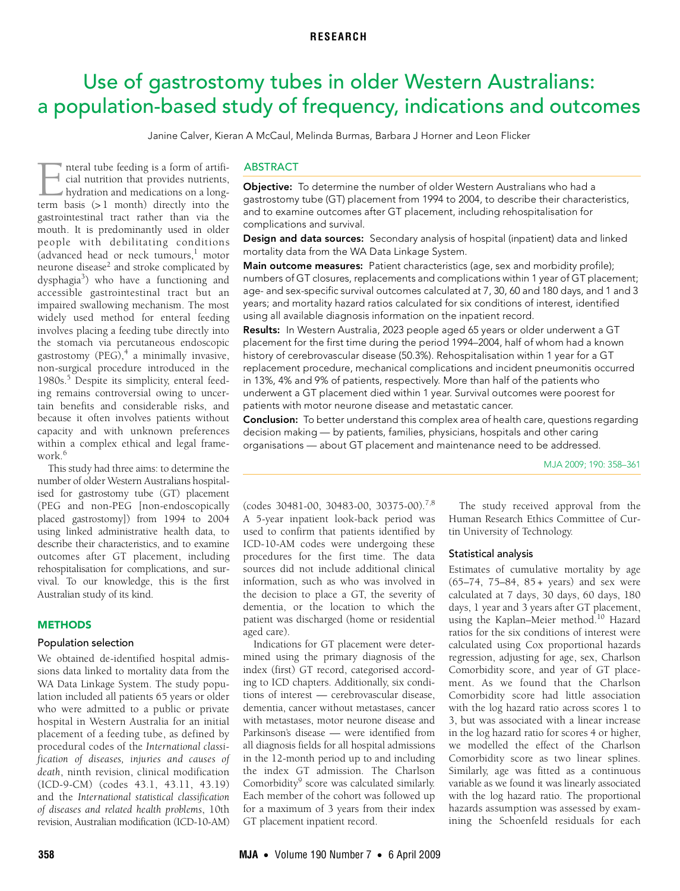# <span id="page-0-0"></span>Use of gastrostomy tubes in older Western Australians: a population-based study of frequency, indications and outcomes

Janine Calver, Kieran A McCaul, Melinda Burmas, Barbara J Horner and Leon Flicker

(advanced head or neck tumours, $\frac{1}{1}$  $\frac{1}{1}$  $\frac{1}{1}$  motor  $\frac{3}{2}$  and stroke complicated by dysphagia<sup>3</sup>) who hav[e](#page-3-2) a functioning and accessible gastrointestinal tract but an impaired swallowing mechanism. The most nteral tube feeding is a form of artificial nutrition that provides nutrients, hydration and medications on a long-The metal tube feeding is a form of artificial nutrition that provides nutrients, hydration and medications on a long-<br>term basis (> 1 month) directly into the gastrointestinal tract rather than via the mouth. It is predominantly used in older people with debilitating conditions neurone disease<sup>[2](#page-3-1)</sup> and stroke compl[icate](#page-0-0)[d by](#page-3-10) widely used method for enteral feeding involves placing a feeding tube directly into the stomach via percutaneous endoscopic gastrostomy (PEG), $4$  a minimally invasive, non-surgical procedure introduced in the 1980s.<sup>[5](#page-3-4)</sup> Despite its simplicity, enteral feeding remains controversial owing to uncertain benefits and considerable risks, and because it often involves patients without capacity and with unknown preferences within a complex ethical and legal framework $6$ 

This study had three aims: to determine the number of older Western Australians hospitalised for gastrostomy tube (GT) placement (PEG and non-PEG [non-endoscopically placed gastrostomy]) from 1994 to 2004 using linked administrative health data, to describe their characteristics, and to examine outcomes after GT placement, including rehospitalisation for complications, and survival. To our knowledge, this is the first Australian study of its kind.

## **METHODS**

## Population selection

We obtained de-identified hospital admissions data linked to mortality data from the WA Data Linkage System. The study population included all patients 65 years or older who were admitted to a public or private hospital in Western Australia for an initial placement of a feeding tube, as defined by procedural codes of the *International classification of diseases, injuries and causes of death*, ninth revision, clinical modification (ICD-9-CM) (codes 43.1, 43.11, 43.19) and the *International statistical classification of diseases and related health problems*, 10th revision, Australian modification (ICD-10-AM)

## **ABSTRACT**

Objective: To determine the number of older Western Australians who had a gastrostomy tube (GT) placement from 1994 to 2004, to describe their characteristics, and to examine outcomes after GT placement, including rehospitalisation for complications and survival.

Design and data sources: Secondary analysis of hospital (inpatient) data and linked mortality data from the WA Data Linkage System.

Main outcome measures: Patient characteristics (age, sex and morbidity profile); numbers of GT closures, replacements and complications within 1 year of GT placement; age- and sex-specific survival outcomes calculated at 7, 30, 60 and 180 days, and 1 and 3 years; and mortality hazard ratios calculated for six conditions of interest, identified using all available diagnosis information on the inpatient record.

Results: In Western Australia, 2023 people aged 65 years or older underwent a GT placement for the first time during the period 1994–2004, half of whom had a known history of cerebrovascular disease (50.3%). Rehospitalisation within 1 year for a GT replacement procedure, mechanical complications and incident pneumonitis occurred in 13%, 4% and 9% of patients, respectively. More than half of the patients who underwent a GT placement died within 1 year. Survival outcomes were poorest for patients with motor neurone disease and metastatic cancer.

Conclusion: To better understand this complex area of health care, questions regarding decision making — by patients, families, physicians, hospitals and other caring organisations — about GT placement and maintenance need to be addressed.

MJA 2009; 190: 358–361

 $(codes 30481-00, 30483-00, 30375-00).$  $(codes 30481-00, 30483-00, 30375-00).$  $(codes 30481-00, 30483-00, 30375-00).$ <sup>7,8</sup> A 5-year inpatient look-back period was used to confirm that patients identified by ICD-10-AM codes were undergoing these procedures for the first time. The data sources did not include additional clinical information, such as who was involved in the decision to place a GT, the severity of dementia, or the location to which the patient was discharged (home or residential aged care).

Indications for GT placement were determined using the primary diagnosis of the index (first) GT record, categorised according to ICD chapters. Additionally, six conditions of interest — cerebrovascular disease, dementia, cancer without metastases, cancer with metastases, motor neurone disease and Parkinson's disease — were identified from all diagnosis fields for all hospital admissions in the 12-month period up to and including the index GT admission. The Charlson Comorbidity<sup>9</sup> score was calculated similarly. Each member of the cohort was followed up for a maximum of 3 years from their index GT placement inpatient record.

The study received approval from the Human Research Ethics Committee of Curtin University of Technology.

#### Statistical analysis

Estimates of cumulative mortality by age (65–74, 75–84, 85 + years) and sex were calculated at 7 days, 30 days, 60 days, 180 days, 1 year and 3 years after GT placement, using the Kaplan–Meier method.<sup>10</sup> Hazard ratios for the six conditions of interest were calculated using Cox proportional hazards regression, adjusting for age, sex, Charlson Comorbidity score, and year of GT placement. As we found that the Charlson Comorbidity score had little association with the log hazard ratio across scores 1 to 3, but was associated with a linear increase in the log hazard ratio for scores 4 or higher, we modelled the effect of the Charlson Comorbidity score as two linear splines. Similarly, age was fitted as a continuous variable as we found it was linearly associated with the log hazard ratio. The proportional hazards assumption was assessed by examining the Schoenfeld residuals for each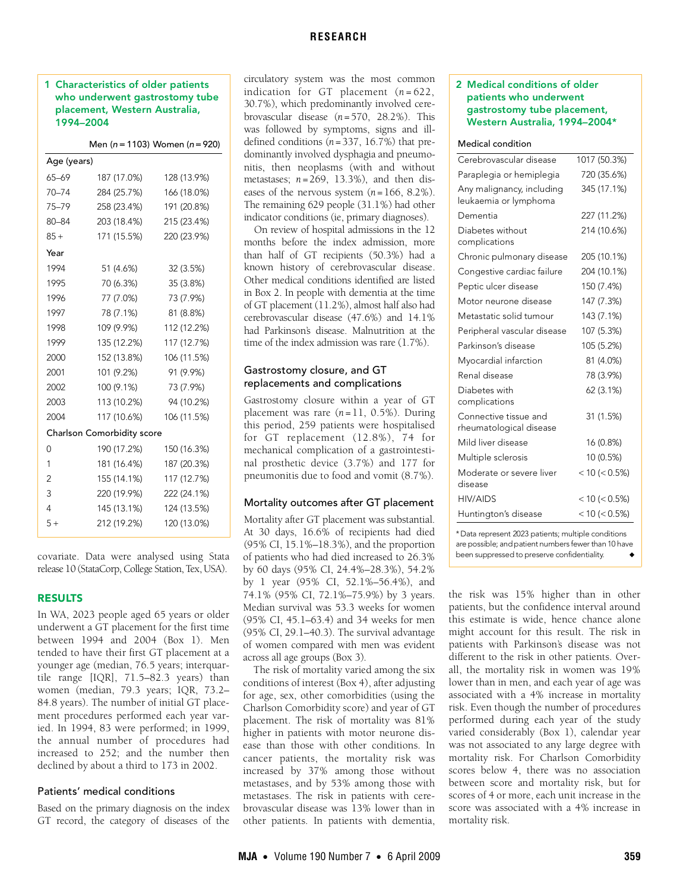## **RESEARCH**

## 1 Characteristics of older patients who underwent gastrostomy tube placement, Western Australia, 1994–2004

Men ( $n = 1103$ ) Women ( $n = 920$ )

| Age (years)                |             |             |
|----------------------------|-------------|-------------|
| $65 - 69$                  | 187 (17.0%) | 128 (13.9%) |
| $70 - 74$                  | 284 (25.7%) | 166 (18.0%) |
| 75-79                      | 258 (23.4%) | 191 (20.8%) |
| $80 - 84$                  | 203 (18.4%) | 215 (23.4%) |
| $85 +$                     | 171 (15.5%) | 220 (23.9%) |
| Year                       |             |             |
| 1994                       | 51 (4.6%)   | 32 (3.5%)   |
| 1995                       | 70 (6.3%)   | 35 (3.8%)   |
| 1996                       | 77 (7.0%)   | 73 (7.9%)   |
| 1997                       | 78 (7.1%)   | 81 (8.8%)   |
| 1998                       | 109 (9.9%)  | 112 (12.2%) |
| 1999                       | 135 (12.2%) | 117 (12.7%) |
| 2000                       | 152 (13.8%) | 106 (11.5%) |
| 2001                       | 101 (9.2%)  | 91 (9.9%)   |
| 2002                       | 100 (9.1%)  | 73 (7.9%)   |
| 2003                       | 113 (10.2%) | 94 (10.2%)  |
| 2004                       | 117 (10.6%) | 106 (11.5%) |
| Charlson Comorbidity score |             |             |
| 0                          | 190 (17.2%) | 150 (16.3%) |
| 1                          | 181 (16.4%) | 187 (20.3%) |
| 2                          | 155 (14.1%) | 117 (12.7%) |
| 3                          | 220 (19.9%) | 222 (24.1%) |
| 4                          | 145 (13.1%) | 124 (13.5%) |
| $5+$                       | 212 (19.2%) | 120 (13.0%) |

covariate. Data were analysed using Stata release 10 (StataCorp, College Station, Tex, USA).

#### RESULTS

In WA, 2023 people aged 65 years or older underwent a GT placement for the first time between 1994 and 2004 (Box 1). Men tended to have their first GT placement at a younger age (median, 76.5 years; interquartile range [IQR], 71.5–82.3 years) than women (median, 79.3 years; IQR, 73.2– 84.8 years). The number of initial GT placement procedures performed each year varied. In 1994, 83 were performed; in 1999, the annual number of procedures had increased to 252; and the number then declined by about a third to 173 in 2002.

## Patients' medical conditions

Based on the primary diagnosis on the index GT record, the category of diseases of the

circulatory system was the most common indication for GT placement  $(n=622)$ , 30.7%), which predominantly involved cerebrovascular disease (*n* =570, 28.2%). This was followed by symptoms, signs and illdefined conditions  $(n=337, 16.7%)$  that predominantly involved dysphagia and pneumonitis, then neoplasms (with and without metastases; *n* =269, 13.3%), and then diseases of the nervous system  $(n = 166, 8.2\%)$ . The remaining 629 people (31.1%) had other indicator conditions (ie, primary diagnoses).

On review of hospital admissions in the 12 months before the index admission, more than half of GT recipients (50.3%) had a known history of cerebrovascular disease. Other medical conditions identified are listed in Box 2. In people with dementia at the time of GT placement (11.2%), almost half also had cerebrovascular disease (47.6%) and 14.1% had Parkinson's disease. Malnutrition at the time of the index admission was rare (1.7%).

# Gastrostomy closure, and GT replacements and complications

Gastrostomy closure within a year of GT placement was rare  $(n=11, 0.5\%)$ . During this period, 259 patients were hospitalised for GT replacement (12.8%), 74 for mechanical complication of a gastrointestinal prosthetic device (3.7%) and 177 for pneumonitis due to food and vomit (8.7%).

### Mortality outcomes after GT placement

Mortality after GT placement was substantial. At 30 days, 16.6% of recipients had died (95% CI, 15.1%–18.3%), and the proportion of patients who had died increased to 26.3% by 60 days (95% CI, 24.4%–28.3%), 54.2% by 1 year (95% CI, 52.1%–56.4%), and 74.1% (95% CI, 72.1%–75.9%) by 3 years. Median survival was 53.3 weeks for women (95% CI, 45.1–63.4) and 34 weeks for men (95% CI, 29.1–40.3). The survival advantage of women compared with men was evident across all age groups (Box 3).

The risk of mortality varied among the six conditions of interest (Box 4), after adjusting for age, sex, other comorbidities (using the Charlson Comorbidity score) and year of GT placement. The risk of mortality was 81% higher in patients with motor neurone disease than those with other conditions. In cancer patients, the mortality risk was increased by 37% among those without metastases, and by 53% among those with metastases. The risk in patients with cerebrovascular disease was 13% lower than in other patients. In patients with dementia,

## 2 Medical conditions of older patients who underwent gastrostomy tube placement, Western Australia, 1994–2004\*

#### Medical condition

| Cerebrovascular disease                            | 1017 (50.3%)     |
|----------------------------------------------------|------------------|
| Paraplegia or hemiplegia                           | 720 (35.6%)      |
| Any malignancy, including<br>leukaemia or lymphoma | 345 (17.1%)      |
| Dementia                                           | 227 (11.2%)      |
| Diabetes without<br>complications                  | 214 (10.6%)      |
| Chronic pulmonary disease                          | 205 (10.1%)      |
| Congestive cardiac failure                         | 204 (10.1%)      |
| Peptic ulcer disease                               | 150 (7.4%)       |
| Motor neurone disease                              | 147 (7.3%)       |
| Metastatic solid tumour                            | 143 (7.1%)       |
| Peripheral vascular disease                        | 107 (5.3%)       |
| Parkinson's disease                                | 105 (5.2%)       |
| Myocardial infarction                              | 81 (4.0%)        |
| Renal disease                                      | 78 (3.9%)        |
| Diabetes with<br>complications                     | 62 (3.1%)        |
| Connective tissue and<br>rheumatological disease   | 31 (1.5%)        |
| Mild liver disease                                 | 16 (0.8%)        |
| Multiple sclerosis                                 | 10 (0.5%)        |
| Moderate or severe liver<br>disease                | $< 10 (< 0.5\%)$ |
| <b>HIV/AIDS</b>                                    | $< 10 (< 0.5\%)$ |
| Huntington's disease                               | < 10 (< 0.5%)    |

\* Data represent 2023 patients; multiple conditions are possible; and patient numbers fewer than 10 have been suppressed to preserve confidentiality.

the risk was 15% higher than in other patients, but the confidence interval around this estimate is wide, hence chance alone might account for this result. The risk in patients with Parkinson's disease was not different to the risk in other patients. Overall, the mortality risk in women was 19% lower than in men, and each year of age was associated with a 4% increase in mortality risk. Even though the number of procedures performed during each year of the study varied considerably (Box 1), calendar year was not associated to any large degree with mortality risk. For Charlson Comorbidity scores below 4, there was no association between score and mortality risk, but for scores of 4 or more, each unit increase in the score was associated with a 4% increase in mortality risk.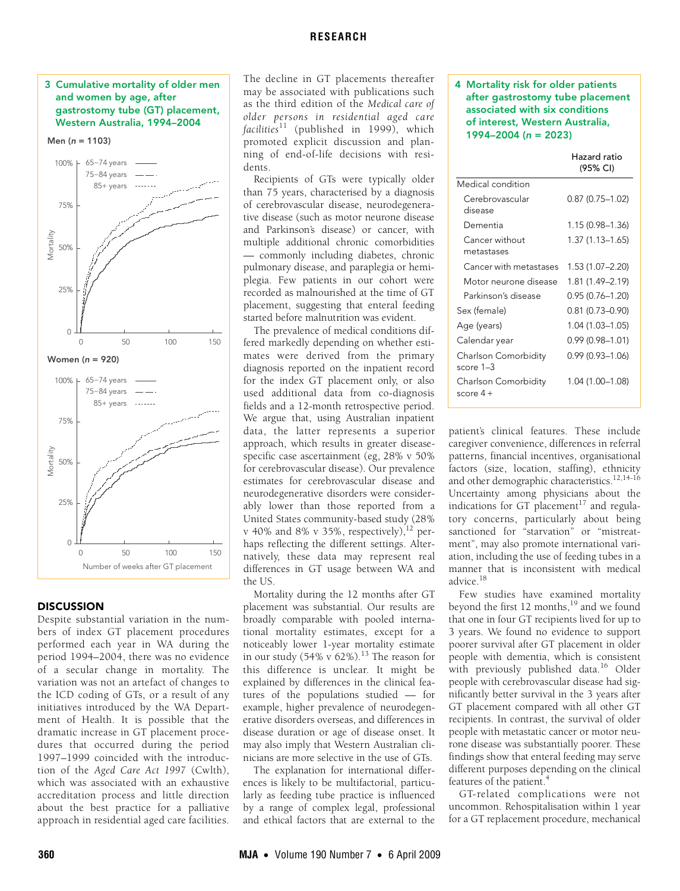## 3 Cumulative mortality of older men and women by age, after gastrostomy tube (GT) placement, Western Australia, 1994–2004





## **DISCUSSION**

Despite substantial variation in the numbers of index GT placement procedures performed each year in WA during the period 1994–2004, there was no evidence of a secular change in mortality. The variation was not an artefact of changes to the ICD coding of GTs, or a result of any initiatives introduced by the WA Department of Health. It is possible that the dramatic increase in GT placement procedures that occurred during the period 1997–1999 coincided with the introduction of the *Aged Care Act 1997* (Cwlth), which was associated with an exhaustive accreditation process and little direction about the best practice for a palliative approach in residential aged care facilities.

The decline in GT placements thereafter may be associated with publications such as the third edition of the *Medical care of older persons in residential aged care facilities*[11](#page-3-11) (published in 1999), which promoted explicit discussion and planning of end-of-life decisions with residents.

Recipients of GTs were typically older than 75 years, characterised by a diagnosis of cerebrovascular disease, neurodegenerative disease (such as motor neurone disease and Parkinson's disease) or cancer, with multiple additional chronic comorbidities — commonly including diabetes, chronic pulmonary disease, and paraplegia or hemiplegia. Few patients in our cohort were recorded as malnourished at the time of GT placement, suggesting that enteral feeding started before malnutrition was evident.

The prevalence of medical conditions differed markedly depending on whether estimates were derived from the primary diagnosis reported on the inpatient record for the index GT placement only, or also used additional data from co-diagnosis fields and a 12-month retrospective period. We argue that, using Australian inpatient data, the latter represents a superior approach, which results in greater diseasespecific case ascertainment (eg, 28% v 50% for cerebrovascular disease). Our prevalence estimates for cerebrovascular disease and neurodegenerative disorders were considerably lower than those reported from a United States community-based study (28% v 40% and 8% v 35%, respectively),  $^{12}$  perhaps reflecting the different settings. Alternatively, these data may represent real differences in GT usage between WA and the US.

Mortality during the 12 months after GT placement was substantial. Our results are broadly comparable with pooled international mortality estimates, except for a noticeably lower 1-year mortality estimate in our study (54% v  $62\%$ ).<sup>13</sup> The reason for this difference is unclear. It might be explained by differences in the clinical features of the populations studied — for example, higher prevalence of neurodegenerative disorders overseas, and differences in disease duration or age of disease onset. It may also imply that Western Australian clinicians are more selective in the use of GTs.

The explanation for international differences is likely to be multifactorial, particularly as feeding tube practice is influenced by a range of complex legal, professional and ethical factors that are external to the

4 Mortality risk for older patients after gastrostomy tube placement associated with six conditions of interest, Western Australia, 1994–2004 (*n* = 2023)

Hazard ratio

|                                   | Hazaru ratio<br>(95% CI) |
|-----------------------------------|--------------------------|
| Medical condition                 |                          |
| Cerebrovascular<br>disease        | $0.87(0.75 - 1.02)$      |
| Dementia                          | 1.15 (0.98–1.36)         |
| Cancer without<br>metastases      | 1.37 (1.13–1.65)         |
| Cancer with metastases            | 1.53 (1.07–2.20)         |
| Motor neurone disease             | 1.81 (1.49-2.19)         |
| Parkinson's disease               | $0.95(0.76 - 1.20)$      |
| Sex (female)                      | 0.81 (0.73-0.90)         |
| Age (years)                       | 1.04 (1.03-1.05)         |
| Calendar year                     | $0.99(0.98 - 1.01)$      |
| Charlson Comorbidity<br>score 1–3 | $0.99(0.93 - 1.06)$      |
| Charlson Comorbidity<br>score 4 + | 1.04 (1.00-1.08)         |

patient's clinical features. These include caregiver convenience, differences in referral patterns, financial incentives, organisational factors (size, location, staffing), ethnicity and other demographic characteristics.<sup>12[,14](#page-3-14)[-16](#page-3-15)</sup> Uncertainty among physicians about the indications for GT placement<sup>17</sup> and regulatory concerns, particularly about being sanctioned for "starvation" or "mistreatment", may also promote international variation, including the use of feeding tubes in a manner that is inconsistent with medical advice.[18](#page-3-17)

Few studies have examined mortality beyond the first  $12$  months,<sup>19</sup> and we found that one in four GT recipients lived for up to 3 years. We found no evidence to support poorer survival after GT placement in older people with dementia, which is consistent with previously published data.<sup>16</sup> Older people with cerebrovascular disease had significantly better survival in the 3 years after GT placement compared with all other GT recipients. In contrast, the survival of older people with metastatic cancer or motor neurone disease was substantially poorer. These findings show that enteral feeding may serve different purposes depending on the clinical features of the patient.<sup>[4](#page-3-3)</sup>

GT-related complications were not uncommon. Rehospitalisation within 1 year for a GT replacement procedure, mechanical